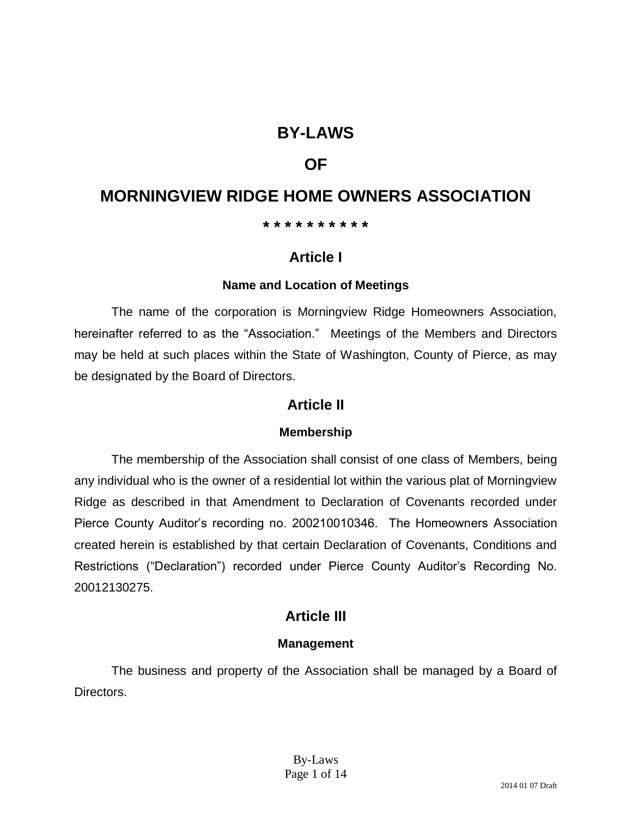# **BY-LAWS**

# **OF**

# **MORNINGVIEW RIDGE HOME OWNERS ASSOCIATION**

#### **\* \* \* \* \* \* \* \* \* \***

# **Article I**

### **Name and Location of Meetings**

The name of the corporation is Morningview Ridge Homeowners Association, hereinafter referred to as the "Association." Meetings of the Members and Directors may be held at such places within the State of Washington, County of Pierce, as may be designated by the Board of Directors.

## **Article II**

### **Membership**

The membership of the Association shall consist of one class of Members, being any individual who is the owner of a residential lot within the various plat of Morningview Ridge as described in that Amendment to Declaration of Covenants recorded under Pierce County Auditor's recording no. 200210010346. The Homeowners Association created herein is established by that certain Declaration of Covenants, Conditions and Restrictions ("Declaration") recorded under Pierce County Auditor's Recording No. 20012130275.

# **Article III**

### **Management**

The business and property of the Association shall be managed by a Board of Directors.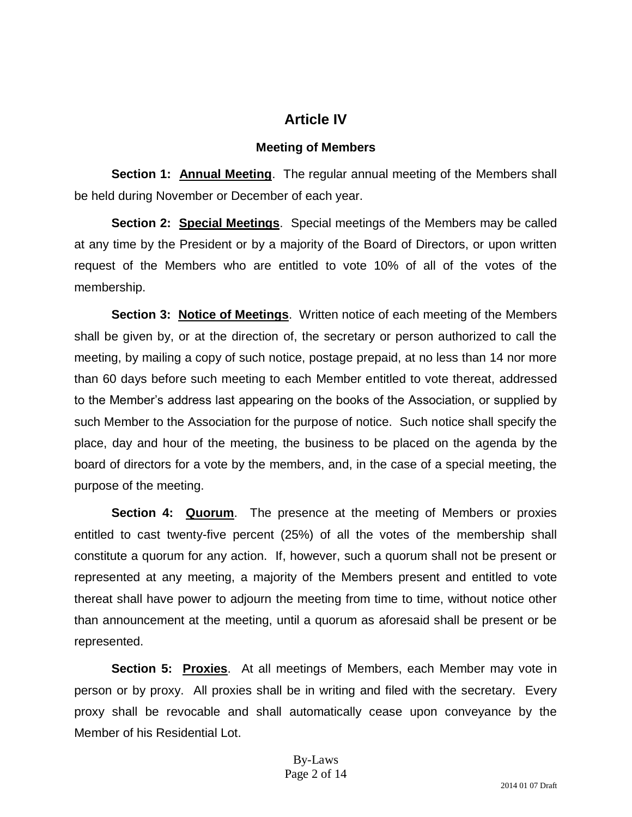# **Article IV**

### **Meeting of Members**

**Section 1: Annual Meeting**. The regular annual meeting of the Members shall be held during November or December of each year.

**Section 2: Special Meetings**. Special meetings of the Members may be called at any time by the President or by a majority of the Board of Directors, or upon written request of the Members who are entitled to vote 10% of all of the votes of the membership.

**Section 3: Notice of Meetings.** Written notice of each meeting of the Members shall be given by, or at the direction of, the secretary or person authorized to call the meeting, by mailing a copy of such notice, postage prepaid, at no less than 14 nor more than 60 days before such meeting to each Member entitled to vote thereat, addressed to the Member's address last appearing on the books of the Association, or supplied by such Member to the Association for the purpose of notice. Such notice shall specify the place, day and hour of the meeting, the business to be placed on the agenda by the board of directors for a vote by the members, and, in the case of a special meeting, the purpose of the meeting.

**Section 4: Quorum**. The presence at the meeting of Members or proxies entitled to cast twenty-five percent (25%) of all the votes of the membership shall constitute a quorum for any action. If, however, such a quorum shall not be present or represented at any meeting, a majority of the Members present and entitled to vote thereat shall have power to adjourn the meeting from time to time, without notice other than announcement at the meeting, until a quorum as aforesaid shall be present or be represented.

**Section 5: Proxies.** At all meetings of Members, each Member may vote in person or by proxy. All proxies shall be in writing and filed with the secretary. Every proxy shall be revocable and shall automatically cease upon conveyance by the Member of his Residential Lot.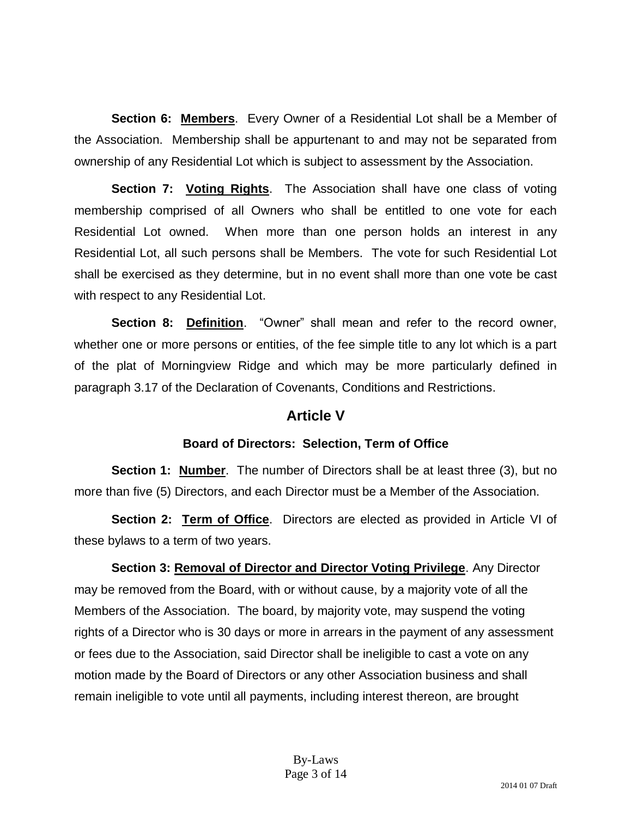**Section 6: Members**. Every Owner of a Residential Lot shall be a Member of the Association. Membership shall be appurtenant to and may not be separated from ownership of any Residential Lot which is subject to assessment by the Association.

**Section 7: Voting Rights**. The Association shall have one class of voting membership comprised of all Owners who shall be entitled to one vote for each Residential Lot owned. When more than one person holds an interest in any Residential Lot, all such persons shall be Members. The vote for such Residential Lot shall be exercised as they determine, but in no event shall more than one vote be cast with respect to any Residential Lot.

**Section 8: Definition**. "Owner" shall mean and refer to the record owner, whether one or more persons or entities, of the fee simple title to any lot which is a part of the plat of Morningview Ridge and which may be more particularly defined in paragraph 3.17 of the Declaration of Covenants, Conditions and Restrictions.

## **Article V**

### **Board of Directors: Selection, Term of Office**

**Section 1: Number.** The number of Directors shall be at least three (3), but no more than five (5) Directors, and each Director must be a Member of the Association.

**Section 2: Term of Office**. Directors are elected as provided in Article VI of these bylaws to a term of two years.

**Section 3: Removal of Director and Director Voting Privilege**. Any Director may be removed from the Board, with or without cause, by a majority vote of all the Members of the Association. The board, by majority vote, may suspend the voting rights of a Director who is 30 days or more in arrears in the payment of any assessment or fees due to the Association, said Director shall be ineligible to cast a vote on any motion made by the Board of Directors or any other Association business and shall remain ineligible to vote until all payments, including interest thereon, are brought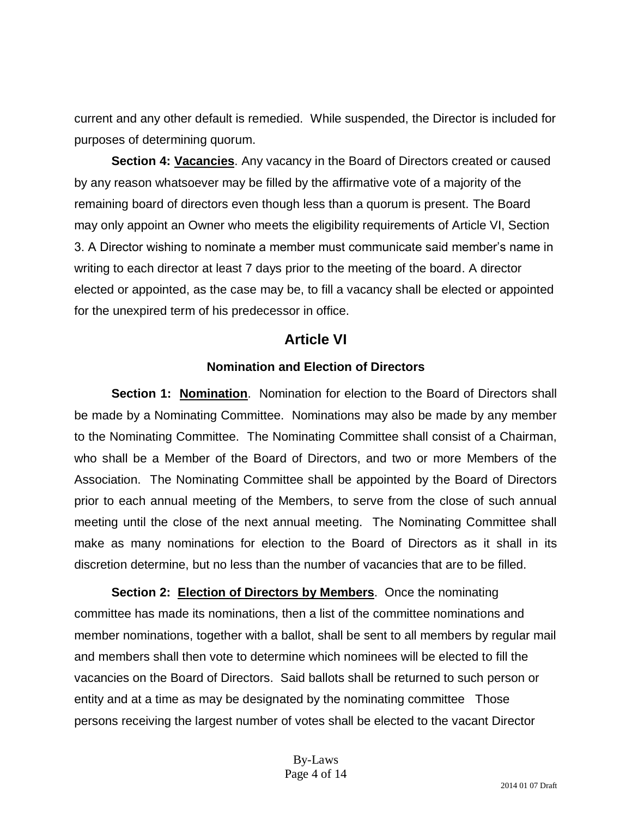current and any other default is remedied. While suspended, the Director is included for purposes of determining quorum.

**Section 4: Vacancies**. Any vacancy in the Board of Directors created or caused by any reason whatsoever may be filled by the affirmative vote of a majority of the remaining board of directors even though less than a quorum is present. The Board may only appoint an Owner who meets the eligibility requirements of Article VI, Section 3. A Director wishing to nominate a member must communicate said member's name in writing to each director at least 7 days prior to the meeting of the board. A director elected or appointed, as the case may be, to fill a vacancy shall be elected or appointed for the unexpired term of his predecessor in office.

### **Article VI**

#### **Nomination and Election of Directors**

**Section 1: Nomination**. Nomination for election to the Board of Directors shall be made by a Nominating Committee. Nominations may also be made by any member to the Nominating Committee. The Nominating Committee shall consist of a Chairman, who shall be a Member of the Board of Directors, and two or more Members of the Association. The Nominating Committee shall be appointed by the Board of Directors prior to each annual meeting of the Members, to serve from the close of such annual meeting until the close of the next annual meeting. The Nominating Committee shall make as many nominations for election to the Board of Directors as it shall in its discretion determine, but no less than the number of vacancies that are to be filled.

**Section 2: Election of Directors by Members**. Once the nominating committee has made its nominations, then a list of the committee nominations and member nominations, together with a ballot, shall be sent to all members by regular mail and members shall then vote to determine which nominees will be elected to fill the vacancies on the Board of Directors. Said ballots shall be returned to such person or entity and at a time as may be designated by the nominating committee Those persons receiving the largest number of votes shall be elected to the vacant Director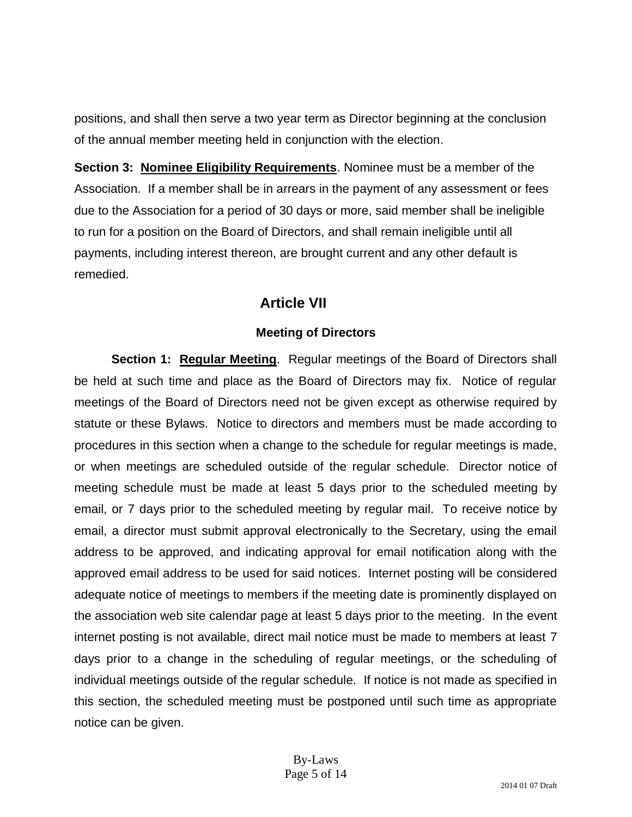positions, and shall then serve a two year term as Director beginning at the conclusion of the annual member meeting held in conjunction with the election.

**Section 3: Nominee Eligibility Requirements**. Nominee must be a member of the Association. If a member shall be in arrears in the payment of any assessment or fees due to the Association for a period of 30 days or more, said member shall be ineligible to run for a position on the Board of Directors, and shall remain ineligible until all payments, including interest thereon, are brought current and any other default is remedied.

# **Article VII**

### **Meeting of Directors**

**Section 1: Regular Meeting.** Regular meetings of the Board of Directors shall be held at such time and place as the Board of Directors may fix. Notice of regular meetings of the Board of Directors need not be given except as otherwise required by statute or these Bylaws. Notice to directors and members must be made according to procedures in this section when a change to the schedule for regular meetings is made, or when meetings are scheduled outside of the regular schedule. Director notice of meeting schedule must be made at least 5 days prior to the scheduled meeting by email, or 7 days prior to the scheduled meeting by regular mail. To receive notice by email, a director must submit approval electronically to the Secretary, using the email address to be approved, and indicating approval for email notification along with the approved email address to be used for said notices. Internet posting will be considered adequate notice of meetings to members if the meeting date is prominently displayed on the association web site calendar page at least 5 days prior to the meeting. In the event internet posting is not available, direct mail notice must be made to members at least 7 days prior to a change in the scheduling of regular meetings, or the scheduling of individual meetings outside of the regular schedule. If notice is not made as specified in this section, the scheduled meeting must be postponed until such time as appropriate notice can be given.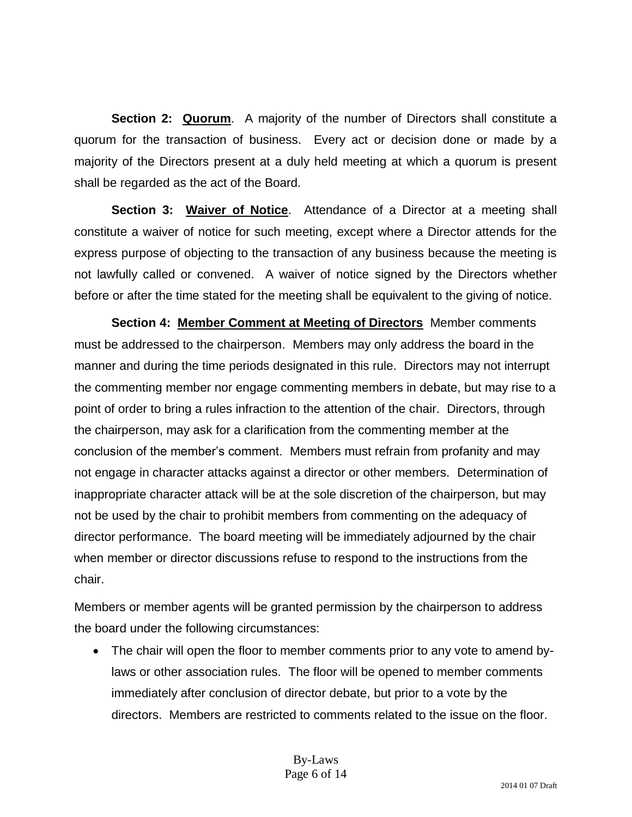**Section 2: Quorum.** A majority of the number of Directors shall constitute a quorum for the transaction of business. Every act or decision done or made by a majority of the Directors present at a duly held meeting at which a quorum is present shall be regarded as the act of the Board.

**Section 3: Waiver of Notice**. Attendance of a Director at a meeting shall constitute a waiver of notice for such meeting, except where a Director attends for the express purpose of objecting to the transaction of any business because the meeting is not lawfully called or convened. A waiver of notice signed by the Directors whether before or after the time stated for the meeting shall be equivalent to the giving of notice.

**Section 4: Member Comment at Meeting of Directors** Member comments must be addressed to the chairperson. Members may only address the board in the manner and during the time periods designated in this rule. Directors may not interrupt the commenting member nor engage commenting members in debate, but may rise to a point of order to bring a rules infraction to the attention of the chair. Directors, through the chairperson, may ask for a clarification from the commenting member at the conclusion of the member's comment. Members must refrain from profanity and may not engage in character attacks against a director or other members. Determination of inappropriate character attack will be at the sole discretion of the chairperson, but may not be used by the chair to prohibit members from commenting on the adequacy of director performance. The board meeting will be immediately adjourned by the chair when member or director discussions refuse to respond to the instructions from the chair.

Members or member agents will be granted permission by the chairperson to address the board under the following circumstances:

 The chair will open the floor to member comments prior to any vote to amend bylaws or other association rules. The floor will be opened to member comments immediately after conclusion of director debate, but prior to a vote by the directors. Members are restricted to comments related to the issue on the floor.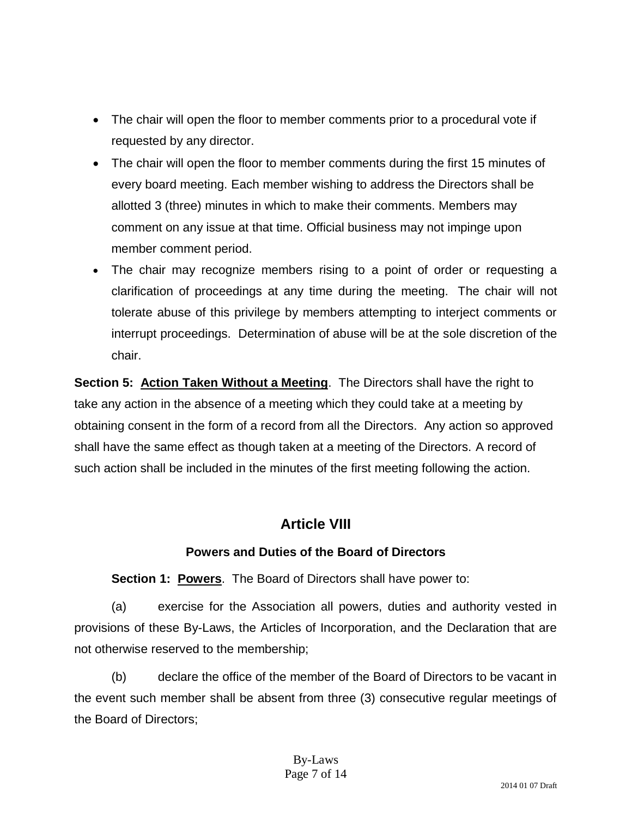- The chair will open the floor to member comments prior to a procedural vote if requested by any director.
- The chair will open the floor to member comments during the first 15 minutes of every board meeting. Each member wishing to address the Directors shall be allotted 3 (three) minutes in which to make their comments. Members may comment on any issue at that time. Official business may not impinge upon member comment period.
- The chair may recognize members rising to a point of order or requesting a clarification of proceedings at any time during the meeting. The chair will not tolerate abuse of this privilege by members attempting to interject comments or interrupt proceedings. Determination of abuse will be at the sole discretion of the chair.

**Section 5: Action Taken Without a Meeting.** The Directors shall have the right to take any action in the absence of a meeting which they could take at a meeting by obtaining consent in the form of a record from all the Directors. Any action so approved shall have the same effect as though taken at a meeting of the Directors. A record of such action shall be included in the minutes of the first meeting following the action.

# **Article VIII**

## **Powers and Duties of the Board of Directors**

**Section 1: Powers**. The Board of Directors shall have power to:

(a) exercise for the Association all powers, duties and authority vested in provisions of these By-Laws, the Articles of Incorporation, and the Declaration that are not otherwise reserved to the membership;

(b) declare the office of the member of the Board of Directors to be vacant in the event such member shall be absent from three (3) consecutive regular meetings of the Board of Directors;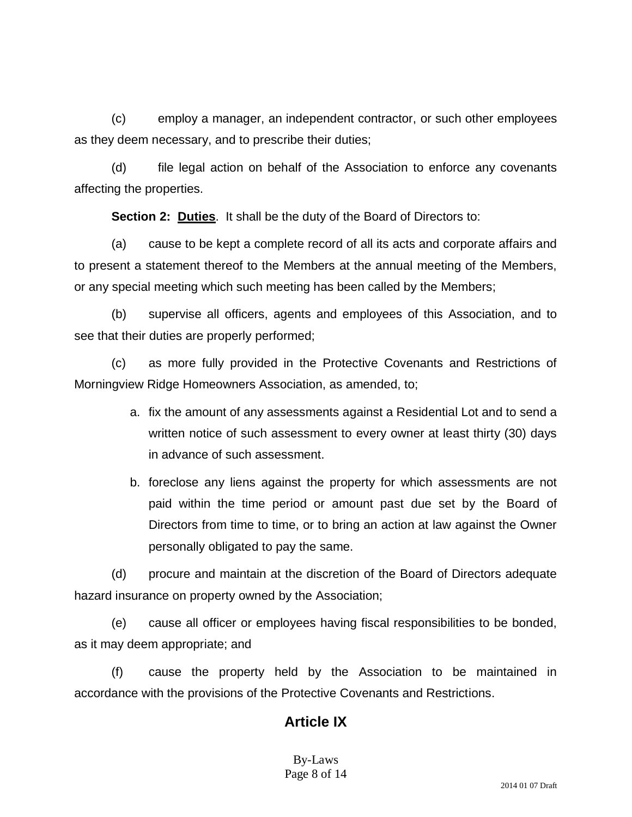(c) employ a manager, an independent contractor, or such other employees as they deem necessary, and to prescribe their duties;

(d) file legal action on behalf of the Association to enforce any covenants affecting the properties.

**Section 2: Duties**. It shall be the duty of the Board of Directors to:

(a) cause to be kept a complete record of all its acts and corporate affairs and to present a statement thereof to the Members at the annual meeting of the Members, or any special meeting which such meeting has been called by the Members;

(b) supervise all officers, agents and employees of this Association, and to see that their duties are properly performed;

(c) as more fully provided in the Protective Covenants and Restrictions of Morningview Ridge Homeowners Association, as amended, to;

- a. fix the amount of any assessments against a Residential Lot and to send a written notice of such assessment to every owner at least thirty (30) days in advance of such assessment.
- b. foreclose any liens against the property for which assessments are not paid within the time period or amount past due set by the Board of Directors from time to time, or to bring an action at law against the Owner personally obligated to pay the same.

(d) procure and maintain at the discretion of the Board of Directors adequate hazard insurance on property owned by the Association;

(e) cause all officer or employees having fiscal responsibilities to be bonded, as it may deem appropriate; and

(f) cause the property held by the Association to be maintained in accordance with the provisions of the Protective Covenants and Restrictions.

# **Article IX**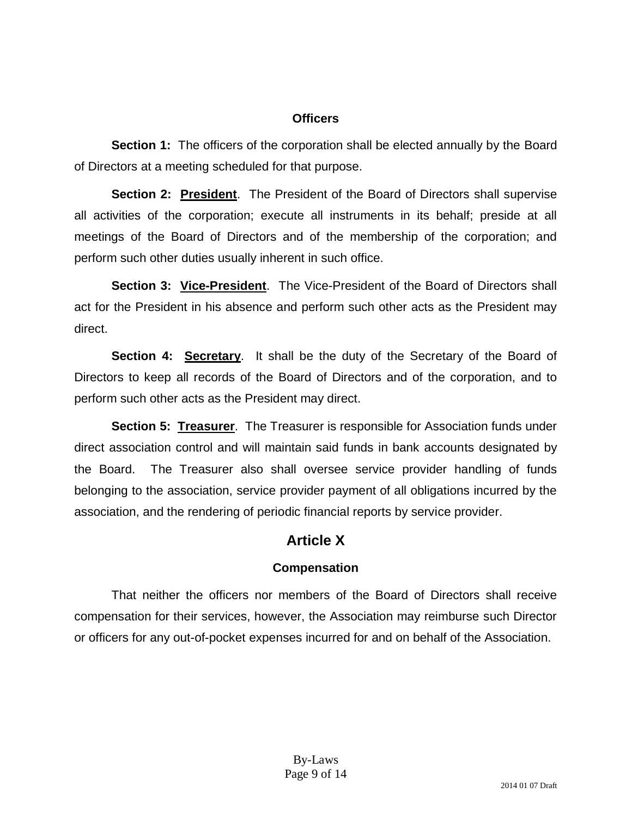#### **Officers**

**Section 1:** The officers of the corporation shall be elected annually by the Board of Directors at a meeting scheduled for that purpose.

**Section 2: President**. The President of the Board of Directors shall supervise all activities of the corporation; execute all instruments in its behalf; preside at all meetings of the Board of Directors and of the membership of the corporation; and perform such other duties usually inherent in such office.

**Section 3: Vice-President**. The Vice-President of the Board of Directors shall act for the President in his absence and perform such other acts as the President may direct.

**Section 4: Secretary**. It shall be the duty of the Secretary of the Board of Directors to keep all records of the Board of Directors and of the corporation, and to perform such other acts as the President may direct.

**Section 5: Treasurer**. The Treasurer is responsible for Association funds under direct association control and will maintain said funds in bank accounts designated by the Board. The Treasurer also shall oversee service provider handling of funds belonging to the association, service provider payment of all obligations incurred by the association, and the rendering of periodic financial reports by service provider.

# **Article X**

## **Compensation**

That neither the officers nor members of the Board of Directors shall receive compensation for their services, however, the Association may reimburse such Director or officers for any out-of-pocket expenses incurred for and on behalf of the Association.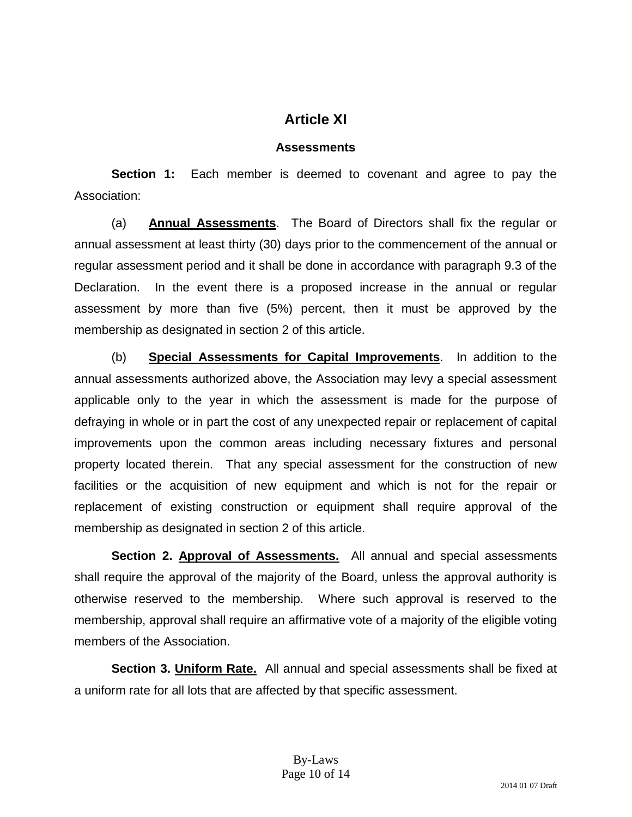# **Article XI**

## **Assessments**

**Section 1:** Each member is deemed to covenant and agree to pay the Association:

(a) **Annual Assessments**. The Board of Directors shall fix the regular or annual assessment at least thirty (30) days prior to the commencement of the annual or regular assessment period and it shall be done in accordance with paragraph 9.3 of the Declaration. In the event there is a proposed increase in the annual or regular assessment by more than five (5%) percent, then it must be approved by the membership as designated in section 2 of this article.

(b) **Special Assessments for Capital Improvements**. In addition to the annual assessments authorized above, the Association may levy a special assessment applicable only to the year in which the assessment is made for the purpose of defraying in whole or in part the cost of any unexpected repair or replacement of capital improvements upon the common areas including necessary fixtures and personal property located therein. That any special assessment for the construction of new facilities or the acquisition of new equipment and which is not for the repair or replacement of existing construction or equipment shall require approval of the membership as designated in section 2 of this article.

Section 2. Approval of Assessments. All annual and special assessments shall require the approval of the majority of the Board, unless the approval authority is otherwise reserved to the membership. Where such approval is reserved to the membership, approval shall require an affirmative vote of a majority of the eligible voting members of the Association.

**Section 3. Uniform Rate.** All annual and special assessments shall be fixed at a uniform rate for all lots that are affected by that specific assessment.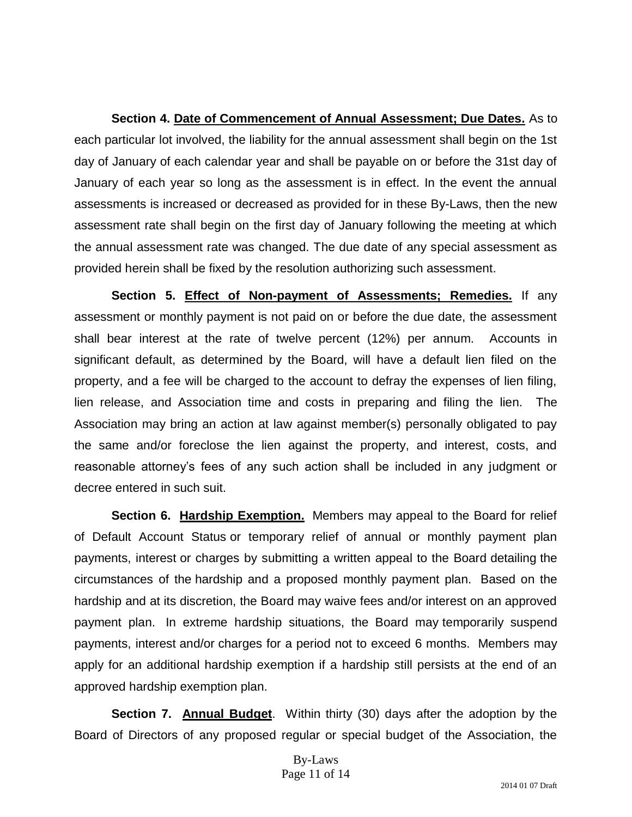**Section 4. Date of Commencement of Annual Assessment; Due Dates.** As to each particular lot involved, the liability for the annual assessment shall begin on the 1st day of January of each calendar year and shall be payable on or before the 31st day of January of each year so long as the assessment is in effect. In the event the annual assessments is increased or decreased as provided for in these By-Laws, then the new assessment rate shall begin on the first day of January following the meeting at which the annual assessment rate was changed. The due date of any special assessment as provided herein shall be fixed by the resolution authorizing such assessment.

**Section 5. Effect of Non-payment of Assessments; Remedies.** If any assessment or monthly payment is not paid on or before the due date, the assessment shall bear interest at the rate of twelve percent (12%) per annum. Accounts in significant default, as determined by the Board, will have a default lien filed on the property, and a fee will be charged to the account to defray the expenses of lien filing, lien release, and Association time and costs in preparing and filing the lien. The Association may bring an action at law against member(s) personally obligated to pay the same and/or foreclose the lien against the property, and interest, costs, and reasonable attorney's fees of any such action shall be included in any judgment or decree entered in such suit.

**Section 6. Hardship Exemption.** Members may appeal to the Board for relief of Default Account Status or temporary relief of annual or monthly payment plan payments, interest or charges by submitting a written appeal to the Board detailing the circumstances of the hardship and a proposed monthly payment plan. Based on the hardship and at its discretion, the Board may waive fees and/or interest on an approved payment plan. In extreme hardship situations, the Board may temporarily suspend payments, interest and/or charges for a period not to exceed 6 months. Members may apply for an additional hardship exemption if a hardship still persists at the end of an approved hardship exemption plan.

**Section 7. Annual Budget**. Within thirty (30) days after the adoption by the Board of Directors of any proposed regular or special budget of the Association, the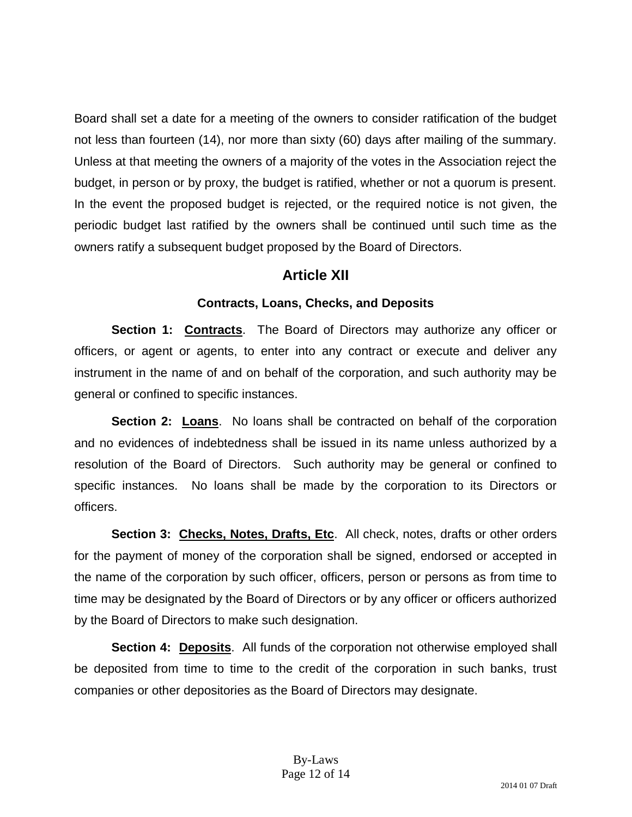Board shall set a date for a meeting of the owners to consider ratification of the budget not less than fourteen (14), nor more than sixty (60) days after mailing of the summary. Unless at that meeting the owners of a majority of the votes in the Association reject the budget, in person or by proxy, the budget is ratified, whether or not a quorum is present. In the event the proposed budget is rejected, or the required notice is not given, the periodic budget last ratified by the owners shall be continued until such time as the owners ratify a subsequent budget proposed by the Board of Directors.

# **Article XII**

### **Contracts, Loans, Checks, and Deposits**

**Section 1: Contracts**. The Board of Directors may authorize any officer or officers, or agent or agents, to enter into any contract or execute and deliver any instrument in the name of and on behalf of the corporation, and such authority may be general or confined to specific instances.

**Section 2: Loans**. No loans shall be contracted on behalf of the corporation and no evidences of indebtedness shall be issued in its name unless authorized by a resolution of the Board of Directors. Such authority may be general or confined to specific instances. No loans shall be made by the corporation to its Directors or officers.

**Section 3: Checks, Notes, Drafts, Etc.** All check, notes, drafts or other orders for the payment of money of the corporation shall be signed, endorsed or accepted in the name of the corporation by such officer, officers, person or persons as from time to time may be designated by the Board of Directors or by any officer or officers authorized by the Board of Directors to make such designation.

**Section 4: Deposits**. All funds of the corporation not otherwise employed shall be deposited from time to time to the credit of the corporation in such banks, trust companies or other depositories as the Board of Directors may designate.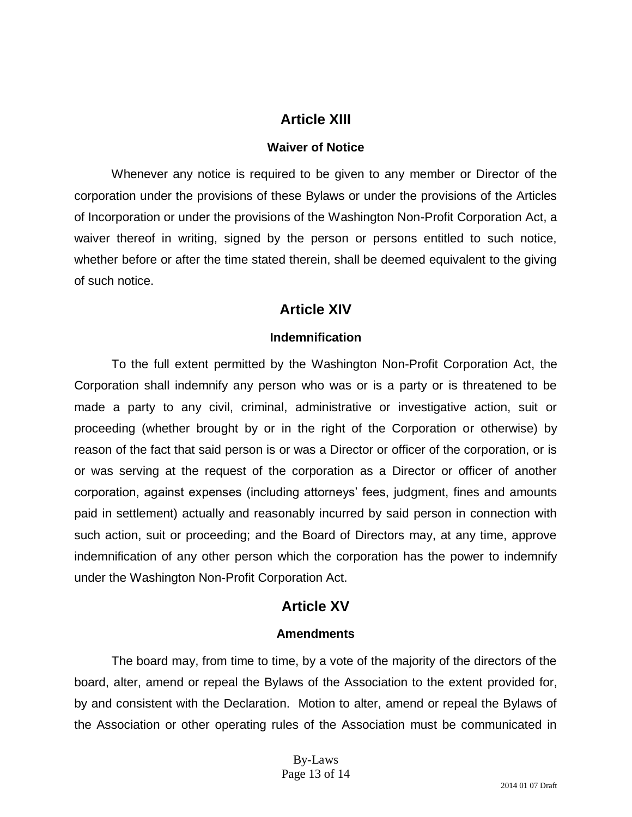# **Article XIII**

#### **Waiver of Notice**

Whenever any notice is required to be given to any member or Director of the corporation under the provisions of these Bylaws or under the provisions of the Articles of Incorporation or under the provisions of the Washington Non-Profit Corporation Act, a waiver thereof in writing, signed by the person or persons entitled to such notice, whether before or after the time stated therein, shall be deemed equivalent to the giving of such notice.

## **Article XIV**

### **Indemnification**

To the full extent permitted by the Washington Non-Profit Corporation Act, the Corporation shall indemnify any person who was or is a party or is threatened to be made a party to any civil, criminal, administrative or investigative action, suit or proceeding (whether brought by or in the right of the Corporation or otherwise) by reason of the fact that said person is or was a Director or officer of the corporation, or is or was serving at the request of the corporation as a Director or officer of another corporation, against expenses (including attorneys' fees, judgment, fines and amounts paid in settlement) actually and reasonably incurred by said person in connection with such action, suit or proceeding; and the Board of Directors may, at any time, approve indemnification of any other person which the corporation has the power to indemnify under the Washington Non-Profit Corporation Act.

# **Article XV**

### **Amendments**

The board may, from time to time, by a vote of the majority of the directors of the board, alter, amend or repeal the Bylaws of the Association to the extent provided for, by and consistent with the Declaration. Motion to alter, amend or repeal the Bylaws of the Association or other operating rules of the Association must be communicated in